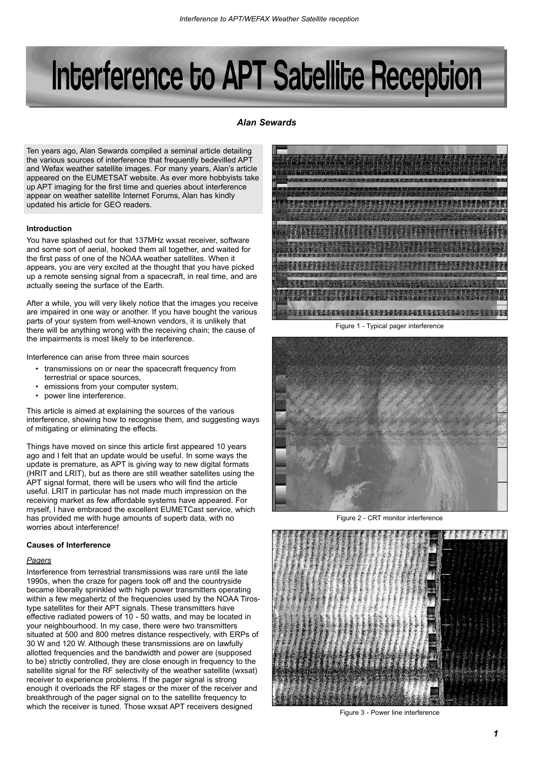# Interference to APT Satellite Reception

# *Alan Sewards*

Ten years ago, Alan Sewards compiled a seminal article detailing the various sources of interference that frequently bedevilled APT and Wefax weather satellite images. For many years, Alan's article appeared on the EUMETSAT website. As ever more hobbyists take up APT imaging for the first time and queries about interference appear on weather satellite Internet Forums, Alan has kindly updated his article for GEO readers.

## **Introduction**

You have splashed out for that 137MHz wxsat receiver, software and some sort of aerial, hooked them all together, and waited for the first pass of one of the NOAA weather satellites. When it appears, you are very excited at the thought that you have picked up a remote sensing signal from a spacecraft, in real time, and are actually seeing the surface of the Earth.

After a while, you will very likely notice that the images you receive are impaired in one way or another. If you have bought the various parts of your system from well-known vendors, it is unlikely that there will be anything wrong with the receiving chain; the cause of the impairments is most likely to be interference.

Interference can arise from three main sources

- transmissions on or near the spacecraft frequency from terrestrial or space sources,
- emissions from your computer system,
- power line interference.

This article is aimed at explaining the sources of the various interference, showing how to recognise them, and suggesting ways of mitigating or eliminating the effects.

Things have moved on since this article first appeared 10 years ago and I felt that an update would be useful. In some ways the update is premature, as APT is giving way to new digital formats (HRIT and LRIT), but as there are still weather satellites using the APT signal format, there will be users who will find the article useful. LRIT in particular has not made much impression on the receiving market as few affordable systems have appeared. For myself, I have embraced the excellent EUMETCast service, which has provided me with huge amounts of superb data, with no worries about interference!

## **Causes of Interference**

# *Pagers*

Interference from terrestrial transmissions was rare until the late 1990s, when the craze for pagers took off and the countryside became liberally sprinkled with high power transmitters operating within a few megahertz of the frequencies used by the NOAA Tirostype satellites for their APT signals. These transmitters have effective radiated powers of 10 - 50 watts, and may be located in your neighbourhood. In my case, there were two transmitters situated at 500 and 800 metres distance respectively, with ERPs of 30 W and 120 W. Although these transmissions are on lawfully allotted frequencies and the bandwidth and power are (supposed to be) strictly controlled, they are close enough in frequency to the satellite signal for the RF selectivity of the weather satellite (wxsat) receiver to experience problems. If the pager signal is strong enough it overloads the RF stages or the mixer of the receiver and breakthrough of the pager signal on to the satellite frequency to which the receiver is tuned. Those wxsat APT receivers designed



Figure 1 - Typical pager interference



CRT monitor interference



Figure 3 - Power line interference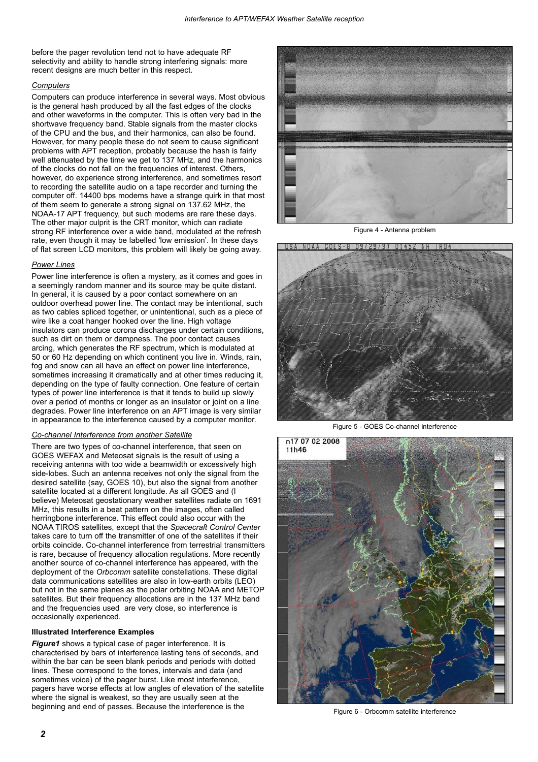before the pager revolution tend not to have adequate RF selectivity and ability to handle strong interfering signals: more recent designs are much better in this respect.

# *Computers*

Computers can produce interference in several ways. Most obvious is the general hash produced by all the fast edges of the clocks and other waveforms in the computer. This is often very bad in the shortwave frequency band. Stable signals from the master clocks of the CPU and the bus, and their harmonics, can also be found. However, for many people these do not seem to cause significant problems with APT reception, probably because the hash is fairly well attenuated by the time we get to 137 MHz, and the harmonics of the clocks do not fall on the frequencies of interest. Others, however, do experience strong interference, and sometimes resort to recording the satellite audio on a tape recorder and turning the computer off. 14400 bps modems have a strange quirk in that most of them seem to generate a strong signal on 137.62 MHz, the NOAA-17 APT frequency, but such modems are rare these days. The other major culprit is the CRT monitor, which can radiate strong RF interference over a wide band, modulated at the refresh rate, even though it may be labelled 'low emission'. In these days of flat screen LCD monitors, this problem will likely be going away.

# *Power Lines*

Power line interference is often a mystery, as it comes and goes in a seemingly random manner and its source may be quite distant. In general, it is caused by a poor contact somewhere on an outdoor overhead power line. The contact may be intentional, such as two cables spliced together, or unintentional, such as a piece of wire like a coat hanger hooked over the line. High voltage insulators can produce corona discharges under certain conditions, such as dirt on them or dampness. The poor contact causes arcing, which generates the RF spectrum, which is modulated at 50 or 60 Hz depending on which continent you live in. Winds, rain, fog and snow can all have an effect on power line interference, sometimes increasing it dramatically and at other times reducing it, depending on the type of faulty connection. One feature of certain types of power line interference is that it tends to build up slowly over a period of months or longer as an insulator or joint on a line degrades. Power line interference on an APT image is very similar in appearance to the interference caused by a computer monitor.

# *Co-channel Interference from another Satellite*

There are two types of co-channel interference, that seen on GOES WEFAX and Meteosat signals is the result of using a receiving antenna with too wide a beamwidth or excessively high side-lobes. Such an antenna receives not only the signal from the desired satellite (say, GOES 10), but also the signal from another satellite located at a different longitude. As all GOES and (I believe) Meteosat geostationary weather satellites radiate on 1691 MHz, this results in a beat pattern on the images, often called herringbone interference. This effect could also occur with the NOAA TIROS satellites, except that the *Spacecraft Control Center* takes care to turn off the transmitter of one of the satellites if their orbits coincide. Co-channel interference from terrestrial transmitters is rare, because of frequency allocation regulations. More recently another source of co-channel interference has appeared, with the deployment of the *Orbcomm* satellite constellations. These digital data communications satellites are also in low-earth orbits (LEO) but not in the same planes as the polar orbiting NOAA and METOP satellites. But their frequency allocations are in the 137 MHz band and the frequencies used are very close, so interference is occasionally experienced.

# **Illustrated Interference Examples**

*Figure1* shows a typical case of pager interference. It is characterised by bars of interference lasting tens of seconds, and within the bar can be seen blank periods and periods with dotted lines. These correspond to the tones, intervals and data (and sometimes voice) of the pager burst. Like most interference, pagers have worse effects at low angles of elevation of the satellite where the signal is weakest, so they are usually seen at the beginning and end of passes. Because the interference is the



Figure 4 - Antenna problem



Figure 5 - GOES Co-channel interference



Figure 6 - Orbcomm satellite interference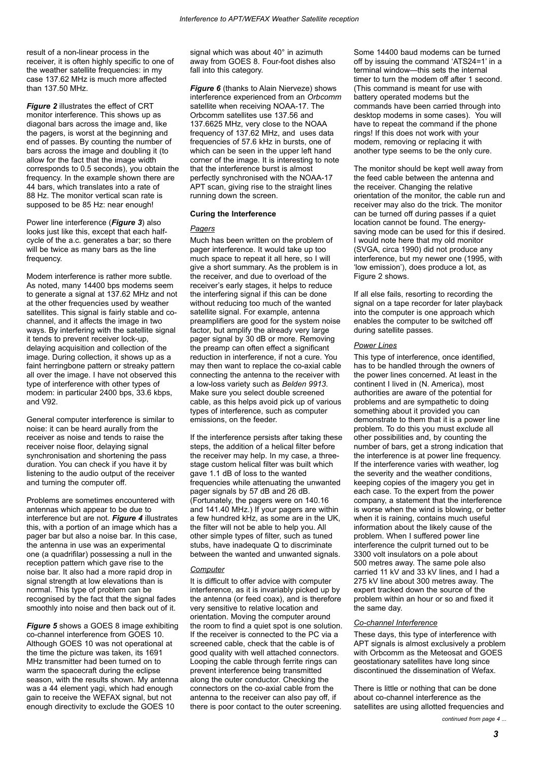result of a non-linear process in the receiver, it is often highly specific to one of the weather satellite frequencies: in my case 137.62 MHz is much more affected than 137.50 MHz.

*Figure 2* illustrates the effect of CRT monitor interference. This shows up as diagonal bars across the image and, like the pagers, is worst at the beginning and end of passes. By counting the number of bars across the image and doubling it (to allow for the fact that the image width corresponds to 0.5 seconds), you obtain the frequency. In the example shown there are 44 bars, which translates into a rate of 88 Hz. The monitor vertical scan rate is supposed to be 85 Hz: near enough!

Power line interference (*Figure 3*) also looks just like this, except that each halfcycle of the a.c. generates a bar; so there will be twice as many bars as the line frequency.

Modem interference is rather more subtle. As noted, many 14400 bps modems seem to generate a signal at 137.62 MHz and not at the other frequencies used by weather satellites. This signal is fairly stable and cochannel, and it affects the image in two ways. By interfering with the satellite signal it tends to prevent receiver lock-up, delaying acquisition and collection of the image. During collection, it shows up as a faint herringbone pattern or streaky pattern all over the image. I have not observed this type of interference with other types of modem: in particular 2400 bps, 33.6 kbps, and V92.

General computer interference is similar to noise: it can be heard aurally from the receiver as noise and tends to raise the receiver noise floor, delaying signal synchronisation and shortening the pass duration. You can check if you have it by listening to the audio output of the receiver and turning the computer off.

Problems are sometimes encountered with antennas which appear to be due to interference but are not. *Figure 4* illustrates this, with a portion of an image which has a pager bar but also a noise bar. In this case, the antenna in use was an experimental one (a quadrifilar) possessing a null in the reception pattern which gave rise to the noise bar. It also had a more rapid drop in signal strength at low elevations than is normal. This type of problem can be recognised by the fact that the signal fades smoothly into noise and then back out of it.

*Figure 5* shows a GOES 8 image exhibiting co-channel interference from GOES 10. Although GOES 10 was not operational at the time the picture was taken, its 1691 MHz transmitter had been turned on to warm the spacecraft during the eclipse season, with the results shown. My antenna was a 44 element yagi, which had enough gain to receive the WEFAX signal, but not enough directivity to exclude the GOES 10

signal which was about 40° in azimuth away from GOES 8. Four-foot dishes also fall into this category.

*Figure 6* (thanks to Alain Nierveze) shows interference experienced from an *Orbcomm* satellite when receiving NOAA-17. The Orbcomm satellites use 137.56 and 137.6625 MHz, very close to the NOAA frequency of 137.62 MHz, and uses data frequencies of 57.6 kHz in bursts, one of which can be seen in the upper left hand corner of the image. It is interesting to note that the interference burst is almost perfectly synchronised with the NOAA-17 APT scan, giving rise to the straight lines running down the screen.

## **Curing the Interference**

#### *Pagers*

Much has been written on the problem of pager interference. It would take up too much space to repeat it all here, so I will give a short summary. As the problem is in the receiver, and due to overload of the receiver's early stages, it helps to reduce the interfering signal if this can be done without reducing too much of the wanted satellite signal. For example, antenna preamplifiers are good for the system noise factor, but amplify the already very large pager signal by 30 dB or more. Removing the preamp can often effect a significant reduction in interference, if not a cure. You may then want to replace the co-axial cable connecting the antenna to the receiver with a low-loss variety such as *Belden 9913*. Make sure you select double screened cable, as this helps avoid pick up of various types of interference, such as computer emissions, on the feeder.

If the interference persists after taking these steps, the addition of a helical filter before the receiver may help. In my case, a threestage custom helical filter was built which gave 1.1 dB of loss to the wanted frequencies while attenuating the unwanted pager signals by 57 dB and 26 dB. (Fortunately, the pagers were on 140.16 and 141.40 MHz.) If your pagers are within a few hundred kHz, as some are in the UK, the filter will not be able to help you. All other simple types of filter, such as tuned stubs, have inadequate Q to discriminate between the wanted and unwanted signals.

#### *Computer*

It is difficult to offer advice with computer interference, as it is invariably picked up by the antenna (or feed coax), and is therefore very sensitive to relative location and orientation. Moving the computer around the room to find a quiet spot is one solution. If the receiver is connected to the PC via a screened cable, check that the cable is of good quality with well attached connectors. Looping the cable through ferrite rings can prevent interference being transmitted along the outer conductor. Checking the connectors on the co-axial cable from the antenna to the receiver can also pay off, if there is poor contact to the outer screening.

Some 14400 baud modems can be turned off by issuing the command 'ATS24=1' in a terminal window—this sets the internal timer to turn the modem off after 1 second. (This command is meant for use with battery operated modems but the commands have been carried through into desktop modems in some cases). You will have to repeat the command if the phone rings! If this does not work with your modem, removing or replacing it with another type seems to be the only cure.

The monitor should be kept well away from the feed cable between the antenna and the receiver. Changing the relative orientation of the monitor, the cable run and receiver may also do the trick. The monitor can be turned off during passes if a quiet location cannot be found. The energysaving mode can be used for this if desired. I would note here that my old monitor (SVGA, circa 1990) did not produce any interference, but my newer one (1995, with 'low emission'), does produce a lot, as Figure 2 shows.

If all else fails, resorting to recording the signal on a tape recorder for later playback into the computer is one approach which enables the computer to be switched off during satellite passes.

### *Power Lines*

This type of interference, once identified, has to be handled through the owners of the power lines concerned. At least in the continent I lived in (N. America), most authorities are aware of the potential for problems and are sympathetic to doing something about it provided you can demonstrate to them that it is a power line problem. To do this you must exclude all other possibilities and, by counting the number of bars, get a strong indication that the interference is at power line frequency. If the interference varies with weather, log the severity and the weather conditions, keeping copies of the imagery you get in each case. To the expert from the power company, a statement that the interference is worse when the wind is blowing, or better when it is raining, contains much useful information about the likely cause of the problem. When I suffered power line interference the culprit turned out to be 3300 volt insulators on a pole about 500 metres away. The same pole also carried 11 kV and 33 kV lines, and I had a 275 kV line about 300 metres away. The expert tracked down the source of the problem within an hour or so and fixed it the same day.

### *Co-channel Interference*

These days, this type of interference with APT signals is almost exclusively a problem with Orbcomm as the Meteosat and GOES geostationary satellites have long since discontinued the dissemination of Wefax.

There is little or nothing that can be done about co-channel interference as the satellites are using allotted frequencies and